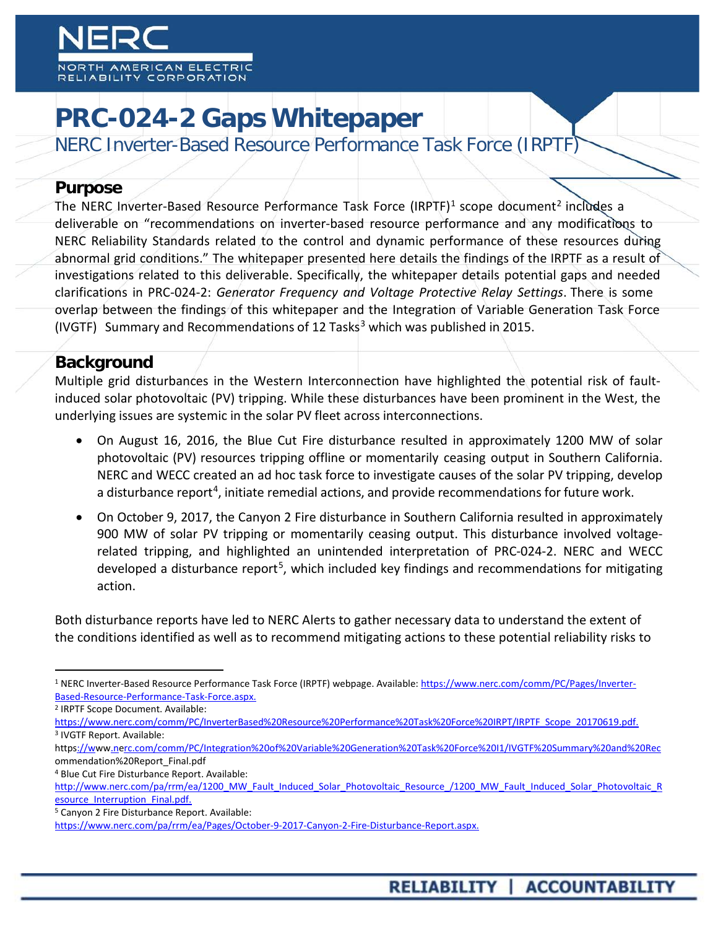

# **PRC-024-2 Gaps Whitepaper**

NERC Inverter-Based Resource Performance Task Force (IRPTF)

#### **Purpose**

The NERC Inverter-Based Resource Performance Task Force (IRPTF)<sup>[1](#page-0-0)</sup> scope document<sup>[2](#page-0-1)</sup> includes a deliverable on "recommendations on inverter-based resource performance and any modifications to NERC Reliability Standards related to the control and dynamic performance of these resources during abnormal grid conditions." The whitepaper presented here details the findings of the IRPTF as a result of investigations related to this deliverable. Specifically, the whitepaper details potential gaps and needed clarifications in PRC-024-2: *Generator Frequency and Voltage Protective Relay Settings*. There is some overlap between the findings of this whitepaper and the Integration of Variable Generation Task Force (IVGTF) Summary and Recommendations of 12 Tasks<sup>[3](#page-0-2)</sup> which was published in 2015.

## **Background**

Multiple grid disturbances in the Western Interconnection have highlighted the potential risk of faultinduced solar photovoltaic (PV) tripping. While these disturbances have been prominent in the West, the underlying issues are systemic in the solar PV fleet across interconnections.

- On August 16, 2016, the Blue Cut Fire disturbance resulted in approximately 1200 MW of solar photovoltaic (PV) resources tripping offline or momentarily ceasing output in Southern California. NERC and WECC created an ad hoc task force to investigate causes of the solar PV tripping, develop a disturbance report<sup>[4](#page-0-3)</sup>, initiate remedial actions, and provide recommendations for future work.
- On October 9, 2017, the Canyon 2 Fire disturbance in Southern California resulted in approximately 900 MW of solar PV tripping or momentarily ceasing output. This disturbance involved voltagerelated tripping, and highlighted an unintended interpretation of PRC-024-2. NERC and WECC developed a disturbance report<sup>5</sup>, which included key findings and recommendations for mitigating action.

Both disturbance reports have led to NERC Alerts to gather necessary data to understand the extent of the conditions identified as well as to recommend mitigating actions to these potential reliability risks to

- <span id="page-0-2"></span>[https://www.nerc.com/comm/PC/InverterBased%20Resource%20Performance%20Task%20Force%20IRPT/IRPTF\\_Scope\\_20170619.pdf.](https://www.nerc.com/comm/PC/InverterBased%20Resource%20Performance%20Task%20Force%20IRPT/IRPTF_Scope_20170619.pdf) <sup>3</sup> IVGTF Report. Available:
- http[s://www.nerc.com/comm/PC/Integration%20of%20Variable%20Generation%20Task%20Force%20I1/IVGTF%20Summary%20and%20Rec](http://www.nerc.com/comm/PC/Integration%20of%20Variable%20Generation%20Task%20Force%20I1/IVGTF%20Summary%20and%20Rec) ommendation%20Report\_Final.pdf
- <span id="page-0-3"></span><sup>4</sup> Blue Cut Fire Disturbance Report. Available:

<span id="page-0-0"></span><sup>&</sup>lt;sup>1</sup> NERC Inverter-Based Resource Performance Task Force (IRPTF) webpage. Available: [https://www.nerc.com/comm/PC/Pages/Inverter-](https://www.nerc.com/comm/PC/Pages/Inverter-Based-Resource-Performance-Task-Force.aspx)[Based-Resource-Performance-Task-Force.aspx.](https://www.nerc.com/comm/PC/Pages/Inverter-Based-Resource-Performance-Task-Force.aspx)

<span id="page-0-1"></span><sup>2</sup> IRPTF Scope Document. Available:

http://www.nerc.com/pa/rrm/ea/1200 MW\_Fault\_Induced\_Solar\_Photovoltaic\_Resource\_/1200\_MW\_Fault\_Induced\_Solar\_Photovoltaic\_R esource Interruption Final.pdf.

<span id="page-0-4"></span><sup>5</sup> Canyon 2 Fire Disturbance Report. Available:

[https://www.nerc.com/pa/rrm/ea/Pages/October-9-2017-Canyon-2-Fire-Disturbance-Report.aspx.](https://www.nerc.com/pa/rrm/ea/Pages/October-9-2017-Canyon-2-Fire-Disturbance-Report.aspx)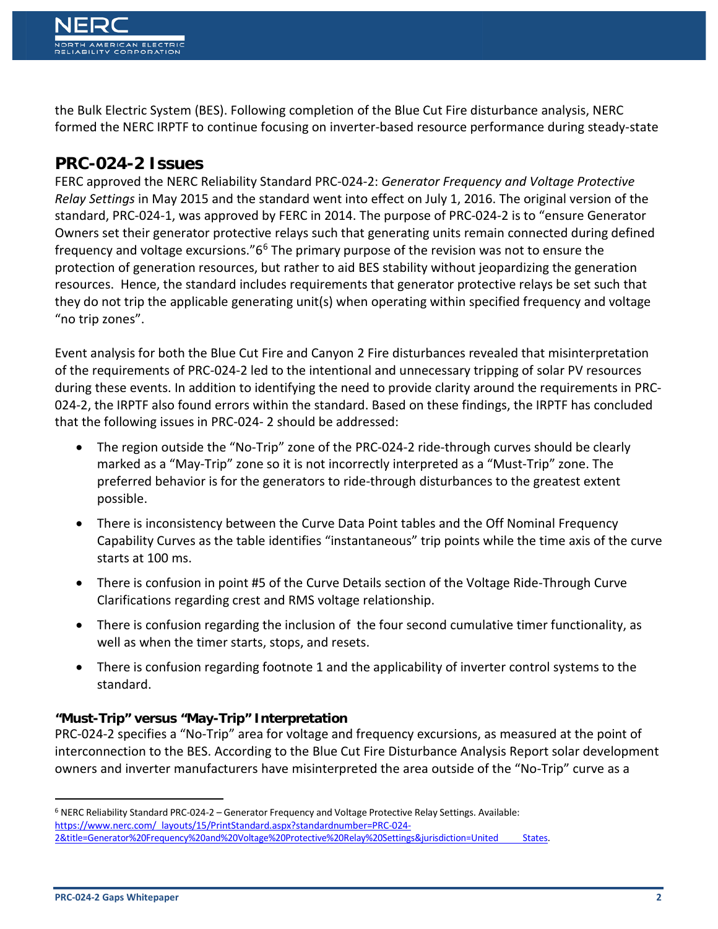the Bulk Electric System (BES). Following completion of the Blue Cut Fire disturbance analysis, NERC formed the NERC IRPTF to continue focusing on inverter-based resource performance during steady-state

# **PRC-024-2 Issues**

FERC approved the NERC Reliability Standard PRC-024-2: *Generator Frequency and Voltage Protective Relay Settings* in May 2015 and the standard went into effect on July 1, 2016. The original version of the standard, PRC-024-1, was approved by FERC in 2014. The purpose of PRC-024-2 is to "ensure Generator Owners set their generator protective relays such that generating units remain connected during defined frequency and voltage excursions."6[6](#page-1-0) The primary purpose of the revision was not to ensure the protection of generation resources, but rather to aid BES stability without jeopardizing the generation resources. Hence, the standard includes requirements that generator protective relays be set such that they do not trip the applicable generating unit(s) when operating within specified frequency and voltage "no trip zones".

Event analysis for both the Blue Cut Fire and Canyon 2 Fire disturbances revealed that misinterpretation of the requirements of PRC-024-2 led to the intentional and unnecessary tripping of solar PV resources during these events. In addition to identifying the need to provide clarity around the requirements in PRC-024-2, the IRPTF also found errors within the standard. Based on these findings, the IRPTF has concluded that the following issues in PRC-024- 2 should be addressed:

- The region outside the "No-Trip" zone of the PRC-024-2 ride-through curves should be clearly marked as a "May-Trip" zone so it is not incorrectly interpreted as a "Must-Trip" zone. The preferred behavior is for the generators to ride-through disturbances to the greatest extent possible.
- There is inconsistency between the Curve Data Point tables and the Off Nominal Frequency Capability Curves as the table identifies "instantaneous" trip points while the time axis of the curve starts at 100 ms.
- There is confusion in point #5 of the Curve Details section of the Voltage Ride-Through Curve Clarifications regarding crest and RMS voltage relationship.
- There is confusion regarding the inclusion of the four second cumulative timer functionality, as well as when the timer starts, stops, and resets.
- There is confusion regarding footnote 1 and the applicability of inverter control systems to the standard.

#### **"Must-Trip" versus "May-Trip" Interpretation**

PRC-024-2 specifies a "No-Trip" area for voltage and frequency excursions, as measured at the point of interconnection to the BES. According to the Blue Cut Fire Disturbance Analysis Report solar development owners and inverter manufacturers have misinterpreted the area outside of the "No-Trip" curve as a

<span id="page-1-0"></span> <sup>6</sup> NERC Reliability Standard PRC-024-2 – Generator Frequency and Voltage Protective Relay Settings. Available: https://www.nerc.com/\_layouts/15/PrintStandard.aspx?standardnumber=PRC-024-

[<sup>2&</sup>amp;title=Generator%20Frequency%20and%20Voltage%20Protective%20Relay%20Settings&jurisdiction=United States.](https://www.nerc.com/_layouts/15/PrintStandard.aspx?standardnumber=PRC-024-2&title=Generator%20Frequency%20and%20Voltage%20Protective%20Relay%20Settings&jurisdiction=United%20States)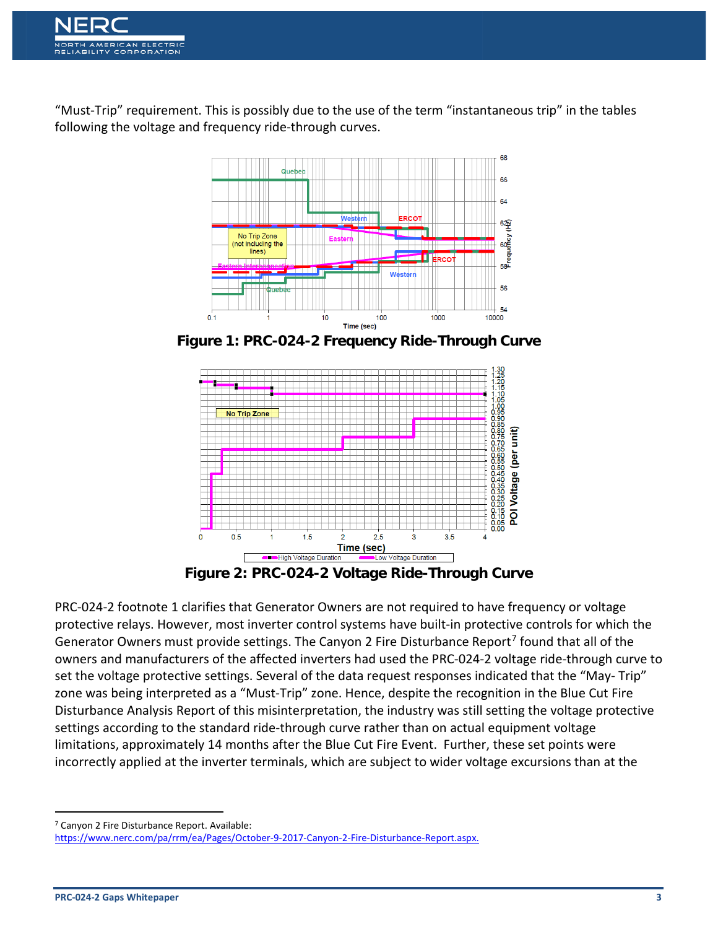

"Must-Trip" requirement. This is possibly due to the use of the term "instantaneous trip" in the tables following the voltage and frequency ride-through curves.



**Figure 1: PRC-024-2 Frequency Ride-Through Curve**



**Figure 2: PRC-024-2 Voltage Ride-Through Curve**

PRC-024-2 footnote 1 clarifies that Generator Owners are not required to have frequency or voltage protective relays. However, most inverter control systems have built-in protective controls for which the Generator Owners must provide settings. The Canyon 2 Fire Disturbance Report<sup>[7](#page-2-0)</sup> found that all of the owners and manufacturers of the affected inverters had used the PRC-024-2 voltage ride-through curve to set the voltage protective settings. Several of the data request responses indicated that the "May- Trip" zone was being interpreted as a "Must-Trip" zone. Hence, despite the recognition in the Blue Cut Fire Disturbance Analysis Report of this misinterpretation, the industry was still setting the voltage protective settings according to the standard ride-through curve rather than on actual equipment voltage limitations, approximately 14 months after the Blue Cut Fire Event. Further, these set points were incorrectly applied at the inverter terminals, which are subject to wider voltage excursions than at the

<span id="page-2-0"></span>7 Canyon 2 Fire Disturbance Report. Available:

[https://www.nerc.com/pa/rrm/ea/Pages/October-9-2017-Canyon-2-Fire-Disturbance-Report.aspx.](https://www.nerc.com/pa/rrm/ea/Pages/October-9-2017-Canyon-2-Fire-Disturbance-Report.aspx)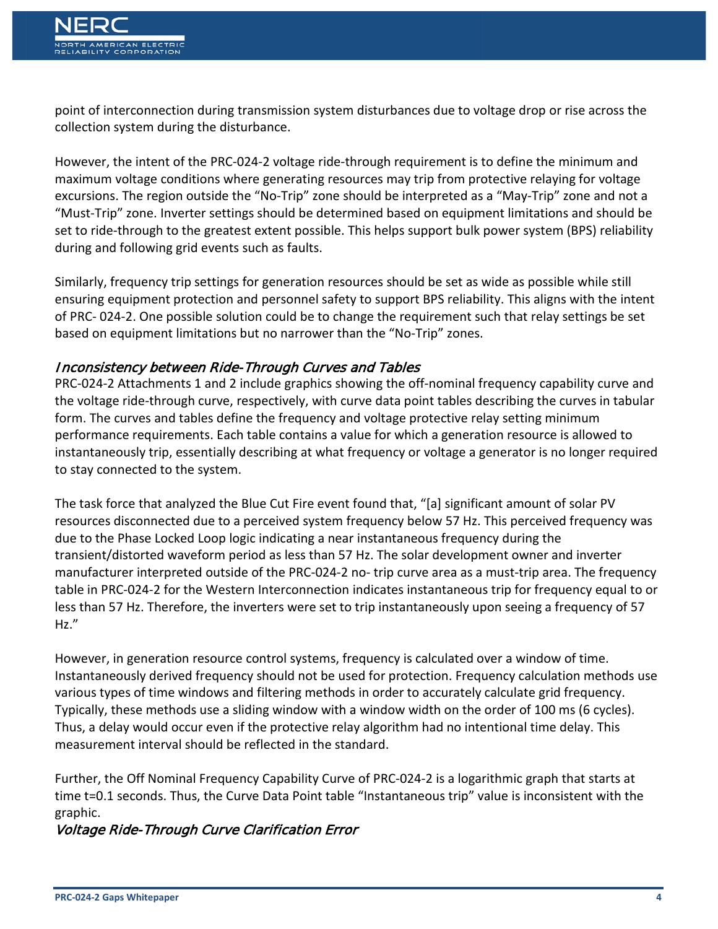point of interconnection during transmission system disturbances due to voltage drop or rise across the collection system during the disturbance.

However, the intent of the PRC-024-2 voltage ride-through requirement is to define the minimum and maximum voltage conditions where generating resources may trip from protective relaying for voltage excursions. The region outside the "No-Trip" zone should be interpreted as a "May-Trip" zone and not a "Must-Trip" zone. Inverter settings should be determined based on equipment limitations and should be set to ride-through to the greatest extent possible. This helps support bulk power system (BPS) reliability during and following grid events such as faults.

Similarly, frequency trip settings for generation resources should be set as wide as possible while still ensuring equipment protection and personnel safety to support BPS reliability. This aligns with the intent of PRC- 024-2. One possible solution could be to change the requirement such that relay settings be set based on equipment limitations but no narrower than the "No-Trip" zones.

#### Inconsistency between Ride-Through Curves and Tables

PRC-024-2 Attachments 1 and 2 include graphics showing the off-nominal frequency capability curve and the voltage ride-through curve, respectively, with curve data point tables describing the curves in tabular form. The curves and tables define the frequency and voltage protective relay setting minimum performance requirements. Each table contains a value for which a generation resource is allowed to instantaneously trip, essentially describing at what frequency or voltage a generator is no longer required to stay connected to the system.

The task force that analyzed the Blue Cut Fire event found that, "[a] significant amount of solar PV resources disconnected due to a perceived system frequency below 57 Hz. This perceived frequency was due to the Phase Locked Loop logic indicating a near instantaneous frequency during the transient/distorted waveform period as less than 57 Hz. The solar development owner and inverter manufacturer interpreted outside of the PRC-024-2 no- trip curve area as a must-trip area. The frequency table in PRC-024-2 for the Western Interconnection indicates instantaneous trip for frequency equal to or less than 57 Hz. Therefore, the inverters were set to trip instantaneously upon seeing a frequency of 57 Hz."

However, in generation resource control systems, frequency is calculated over a window of time. Instantaneously derived frequency should not be used for protection. Frequency calculation methods use various types of time windows and filtering methods in order to accurately calculate grid frequency. Typically, these methods use a sliding window with a window width on the order of 100 ms (6 cycles). Thus, a delay would occur even if the protective relay algorithm had no intentional time delay. This measurement interval should be reflected in the standard.

Further, the Off Nominal Frequency Capability Curve of PRC-024-2 is a logarithmic graph that starts at time t=0.1 seconds. Thus, the Curve Data Point table "Instantaneous trip" value is inconsistent with the graphic.

#### Voltage Ride-Through Curve Clarification Error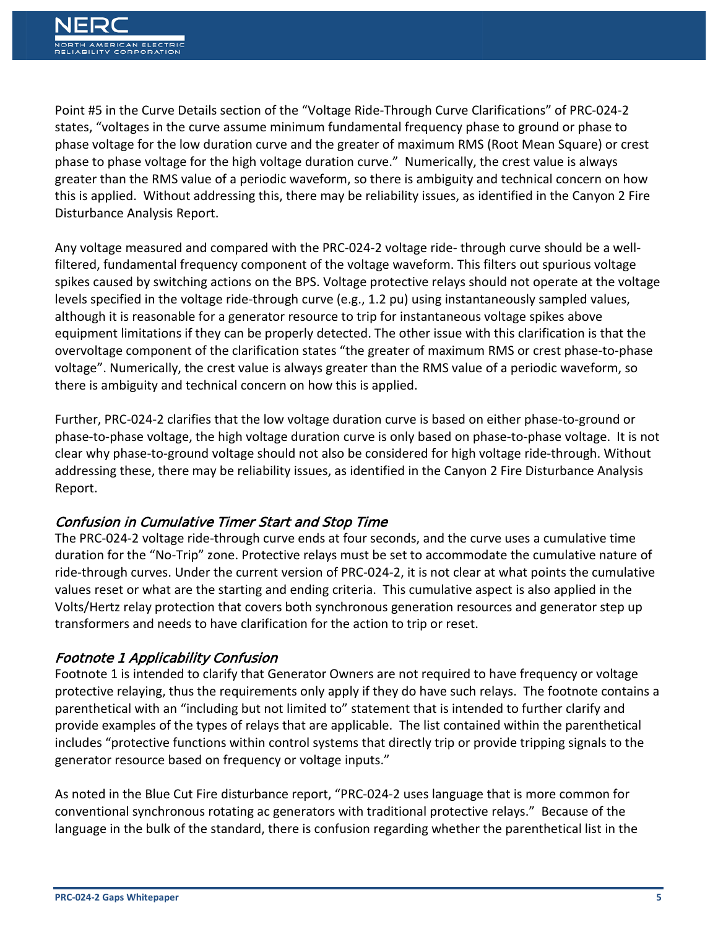Point #5 in the Curve Details section of the "Voltage Ride-Through Curve Clarifications" of PRC-024-2 states, "voltages in the curve assume minimum fundamental frequency phase to ground or phase to phase voltage for the low duration curve and the greater of maximum RMS (Root Mean Square) or crest phase to phase voltage for the high voltage duration curve." Numerically, the crest value is always greater than the RMS value of a periodic waveform, so there is ambiguity and technical concern on how this is applied. Without addressing this, there may be reliability issues, as identified in the Canyon 2 Fire Disturbance Analysis Report.

Any voltage measured and compared with the PRC-024-2 voltage ride- through curve should be a wellfiltered, fundamental frequency component of the voltage waveform. This filters out spurious voltage spikes caused by switching actions on the BPS. Voltage protective relays should not operate at the voltage levels specified in the voltage ride-through curve (e.g., 1.2 pu) using instantaneously sampled values, although it is reasonable for a generator resource to trip for instantaneous voltage spikes above equipment limitations if they can be properly detected. The other issue with this clarification is that the overvoltage component of the clarification states "the greater of maximum RMS or crest phase-to-phase voltage". Numerically, the crest value is always greater than the RMS value of a periodic waveform, so there is ambiguity and technical concern on how this is applied.

Further, PRC-024-2 clarifies that the low voltage duration curve is based on either phase-to-ground or phase-to-phase voltage, the high voltage duration curve is only based on phase-to-phase voltage. It is not clear why phase-to-ground voltage should not also be considered for high voltage ride-through. Without addressing these, there may be reliability issues, as identified in the Canyon 2 Fire Disturbance Analysis Report.

#### Confusion in Cumulative Timer Start and Stop Time

The PRC-024-2 voltage ride-through curve ends at four seconds, and the curve uses a cumulative time duration for the "No-Trip" zone. Protective relays must be set to accommodate the cumulative nature of ride-through curves. Under the current version of PRC-024-2, it is not clear at what points the cumulative values reset or what are the starting and ending criteria. This cumulative aspect is also applied in the Volts/Hertz relay protection that covers both synchronous generation resources and generator step up transformers and needs to have clarification for the action to trip or reset.

## Footnote 1 Applicability Confusion

Footnote 1 is intended to clarify that Generator Owners are not required to have frequency or voltage protective relaying, thus the requirements only apply if they do have such relays. The footnote contains a parenthetical with an "including but not limited to" statement that is intended to further clarify and provide examples of the types of relays that are applicable. The list contained within the parenthetical includes "protective functions within control systems that directly trip or provide tripping signals to the generator resource based on frequency or voltage inputs."

As noted in the Blue Cut Fire disturbance report, "PRC-024-2 uses language that is more common for conventional synchronous rotating ac generators with traditional protective relays." Because of the language in the bulk of the standard, there is confusion regarding whether the parenthetical list in the